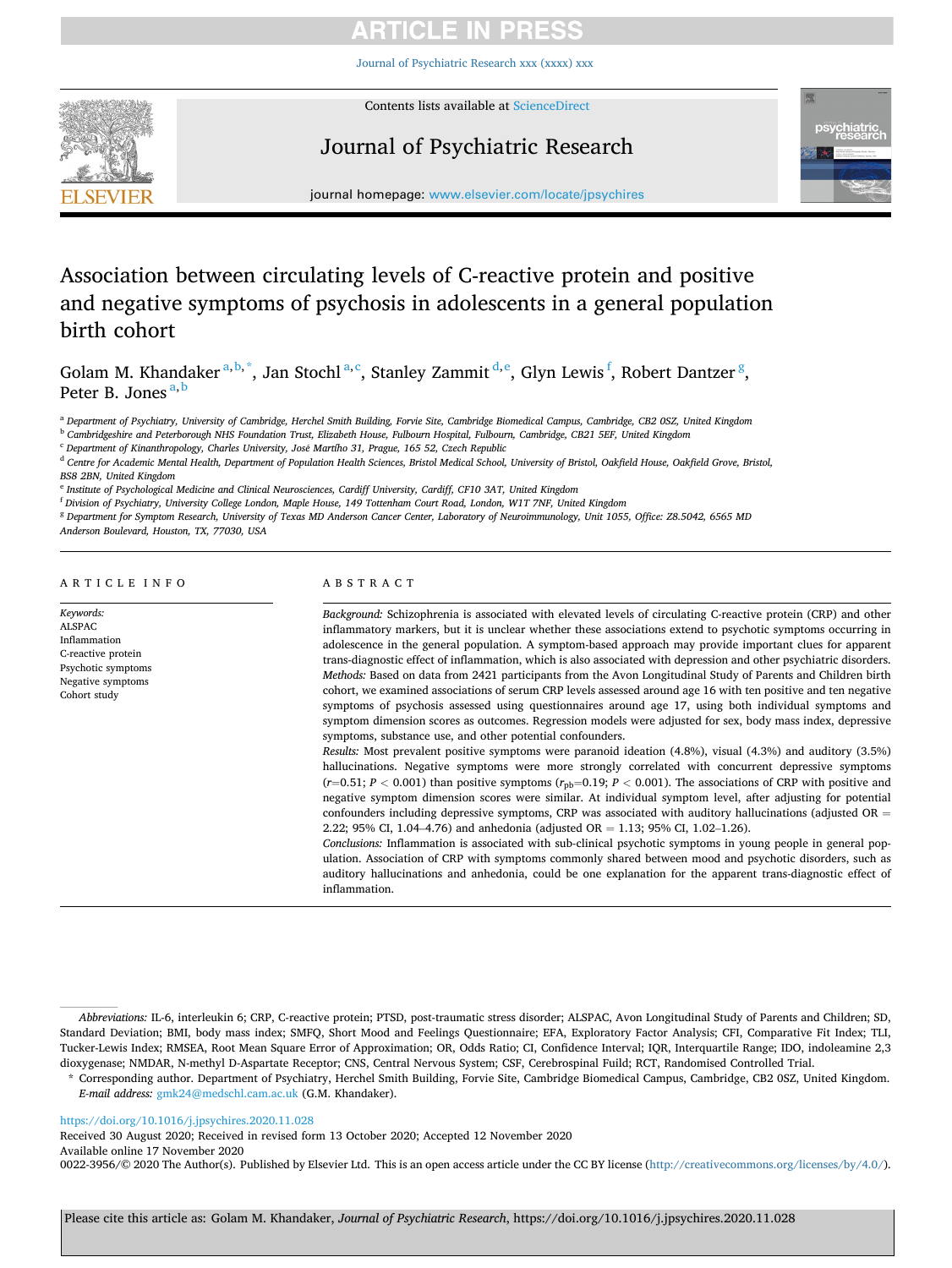[Journal of Psychiatric Research xxx \(xxxx\) xxx](https://doi.org/10.1016/j.jpsychires.2020.11.028)



Contents lists available at [ScienceDirect](www.sciencedirect.com/science/journal/00223956)

# Journal of Psychiatric Research



journal homepage: [www.elsevier.com/locate/jpsychires](https://www.elsevier.com/locate/jpsychires)

# Association between circulating levels of C-reactive protein and positive and negative symptoms of psychosis in adolescents in a general population birth cohort

Golam M. Khandaker<sup>a, b,\*</sup>, Jan Stochl<sup>a, c</sup>, Stanley Zammit<sup>d, e</sup>, Glyn Lewis<sup>f</sup>, Robert Dantzer<sup>g</sup>, Peter B. Jones<sup>a,b</sup>

<sup>a</sup> *Department of Psychiatry, University of Cambridge, Herchel Smith Building, Forvie Site, Cambridge Biomedical Campus, Cambridge, CB2 0SZ, United Kingdom* 

<sup>b</sup> *Cambridgeshire and Peterborough NHS Foundation Trust, Elizabeth House, Fulbourn Hospital, Fulbourn, Cambridge, CB21 5EF, United Kingdom* 

<sup>c</sup> *Department of Kinanthropology, Charles University, Jos*´*e Martího 31, Prague, 165 52, Czech Republic* 

<sup>d</sup> *Centre for Academic Mental Health, Department of Population Health Sciences, Bristol Medical School, University of Bristol, Oakfield House, Oakfield Grove, Bristol, BS8 2BN, United Kingdom* 

<sup>e</sup> *Institute of Psychological Medicine and Clinical Neurosciences, Cardiff University, Cardiff, CF10 3AT, United Kingdom* 

<sup>f</sup> *Division of Psychiatry, University College London, Maple House, 149 Tottenham Court Road, London, W1T 7NF, United Kingdom* 

<sup>g</sup> *Department for Symptom Research, University of Texas MD Anderson Cancer Center, Laboratory of Neuroimmunology, Unit 1055, Office: Z8.5042, 6565 MD* 

*Anderson Boulevard, Houston, TX, 77030, USA* 

## ARTICLE INFO

*Keywords:*  ALSPAC Inflammation C-reactive protein Psychotic symptoms Negative symptoms Cohort study

ABSTRACT

*Background:* Schizophrenia is associated with elevated levels of circulating C-reactive protein (CRP) and other inflammatory markers, but it is unclear whether these associations extend to psychotic symptoms occurring in adolescence in the general population. A symptom-based approach may provide important clues for apparent trans-diagnostic effect of inflammation, which is also associated with depression and other psychiatric disorders. *Methods:* Based on data from 2421 participants from the Avon Longitudinal Study of Parents and Children birth cohort, we examined associations of serum CRP levels assessed around age 16 with ten positive and ten negative symptoms of psychosis assessed using questionnaires around age 17, using both individual symptoms and symptom dimension scores as outcomes. Regression models were adjusted for sex, body mass index, depressive symptoms, substance use, and other potential confounders.

*Results:* Most prevalent positive symptoms were paranoid ideation (4.8%), visual (4.3%) and auditory (3.5%) hallucinations. Negative symptoms were more strongly correlated with concurrent depressive symptoms  $(r=0.51; P < 0.001)$  than positive symptoms  $(r_{\text{pb}}=0.19; P < 0.001)$ . The associations of CRP with positive and negative symptom dimension scores were similar. At individual symptom level, after adjusting for potential confounders including depressive symptoms, CRP was associated with auditory hallucinations (adjusted OR  $=$ 2.22; 95% CI, 1.04–4.76) and anhedonia (adjusted  $OR = 1.13$ ; 95% CI, 1.02–1.26).

*Conclusions:* Inflammation is associated with sub-clinical psychotic symptoms in young people in general population. Association of CRP with symptoms commonly shared between mood and psychotic disorders, such as auditory hallucinations and anhedonia, could be one explanation for the apparent trans-diagnostic effect of inflammation.

# <https://doi.org/10.1016/j.jpsychires.2020.11.028>

Available online 17 November 2020 Received 30 August 2020; Received in revised form 13 October 2020; Accepted 12 November 2020

0022-3956/©2020 The Author(s). Published by Elsevier Ltd. This is an open access article under the CC BY license ([http://creativecommons.org/licenses/by/4.0/\)](http://creativecommons.org/licenses/by/4.0/).

*Abbreviations:* IL-6, interleukin 6; CRP, C-reactive protein; PTSD, post-traumatic stress disorder; ALSPAC, Avon Longitudinal Study of Parents and Children; SD, Standard Deviation; BMI, body mass index; SMFQ, Short Mood and Feelings Questionnaire; EFA, Exploratory Factor Analysis; CFI, Comparative Fit Index; TLI, Tucker-Lewis Index; RMSEA, Root Mean Square Error of Approximation; OR, Odds Ratio; CI, Confidence Interval; IQR, Interquartile Range; IDO, indoleamine 2,3 dioxygenase; NMDAR, N-methyl D-Aspartate Receptor; CNS, Central Nervous System; CSF, Cerebrospinal Fuild; RCT, Randomised Controlled Trial.

<sup>\*</sup> Corresponding author. Department of Psychiatry, Herchel Smith Building, Forvie Site, Cambridge Biomedical Campus, Cambridge, CB2 0SZ, United Kingdom. *E-mail address:* [gmk24@medschl.cam.ac.uk](mailto:gmk24@medschl.cam.ac.uk) (G.M. Khandaker).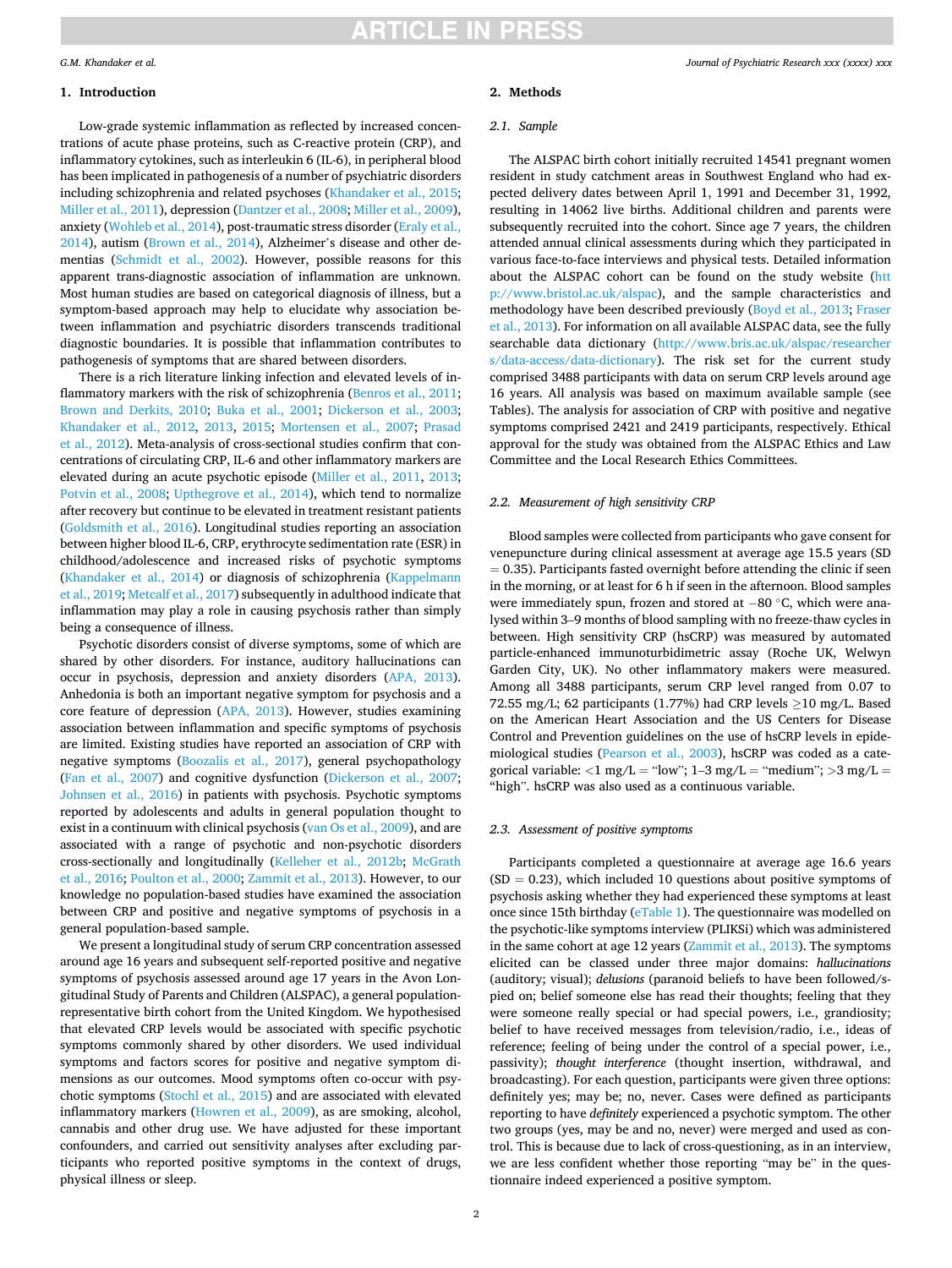## *G.M. Khandaker et al.*

## **1. Introduction**

Low-grade systemic inflammation as reflected by increased concentrations of acute phase proteins, such as C-reactive protein (CRP), and inflammatory cytokines, such as interleukin 6 (IL-6), in peripheral blood has been implicated in pathogenesis of a number of psychiatric disorders including schizophrenia and related psychoses [\(Khandaker et al., 2015](#page-8-0); [Miller et al., 2011\)](#page-8-0), depression ([Dantzer et al., 2008](#page-7-0); [Miller et al., 2009](#page-8-0)), anxiety [\(Wohleb et al., 2014](#page-8-0)), post-traumatic stress disorder ([Eraly et al.,](#page-7-0)  [2014\)](#page-7-0), autism [\(Brown et al., 2014\)](#page-7-0), Alzheimer's disease and other dementias ([Schmidt et al., 2002](#page-8-0)). However, possible reasons for this apparent trans-diagnostic association of inflammation are unknown. Most human studies are based on categorical diagnosis of illness, but a symptom-based approach may help to elucidate why association between inflammation and psychiatric disorders transcends traditional diagnostic boundaries. It is possible that inflammation contributes to pathogenesis of symptoms that are shared between disorders.

There is a rich literature linking infection and elevated levels of inflammatory markers with the risk of schizophrenia ([Benros et al., 2011](#page-7-0); [Brown and Derkits, 2010;](#page-7-0) [Buka et al., 2001](#page-7-0); [Dickerson et al., 2003](#page-7-0); [Khandaker et al., 2012](#page-8-0), [2013,](#page-8-0) [2015;](#page-8-0) [Mortensen et al., 2007](#page-8-0); [Prasad](#page-8-0)  [et al., 2012](#page-8-0)). Meta-analysis of cross-sectional studies confirm that concentrations of circulating CRP, IL-6 and other inflammatory markers are elevated during an acute psychotic episode [\(Miller et al., 2011](#page-8-0), [2013](#page-8-0); [Potvin et al., 2008;](#page-8-0) [Upthegrove et al., 2014](#page-8-0)), which tend to normalize after recovery but continue to be elevated in treatment resistant patients ([Goldsmith et al., 2016\)](#page-8-0). Longitudinal studies reporting an association between higher blood IL-6, CRP, erythrocyte sedimentation rate (ESR) in childhood/adolescence and increased risks of psychotic symptoms ([Khandaker et al., 2014\)](#page-8-0) or diagnosis of schizophrenia [\(Kappelmann](#page-8-0)  [et al., 2019](#page-8-0); [Metcalf et al., 2017\)](#page-8-0) subsequently in adulthood indicate that inflammation may play a role in causing psychosis rather than simply being a consequence of illness.

Psychotic disorders consist of diverse symptoms, some of which are shared by other disorders. For instance, auditory hallucinations can occur in psychosis, depression and anxiety disorders [\(APA, 2013](#page-7-0)). Anhedonia is both an important negative symptom for psychosis and a core feature of depression ([APA, 2013\)](#page-7-0). However, studies examining association between inflammation and specific symptoms of psychosis are limited. Existing studies have reported an association of CRP with negative symptoms ([Boozalis et al., 2017](#page-7-0)), general psychopathology ([Fan et al., 2007](#page-7-0)) and cognitive dysfunction ([Dickerson et al., 2007](#page-7-0); [Johnsen et al., 2016](#page-8-0)) in patients with psychosis. Psychotic symptoms reported by adolescents and adults in general population thought to exist in a continuum with clinical psychosis [\(van Os et al., 2009](#page-8-0)), and are associated with a range of psychotic and non-psychotic disorders cross-sectionally and longitudinally ([Kelleher et al., 2012b](#page-8-0); [McGrath](#page-8-0)  [et al., 2016](#page-8-0); [Poulton et al., 2000; Zammit et al., 2013](#page-8-0)). However, to our knowledge no population-based studies have examined the association between CRP and positive and negative symptoms of psychosis in a general population-based sample.

We present a longitudinal study of serum CRP concentration assessed around age 16 years and subsequent self-reported positive and negative symptoms of psychosis assessed around age 17 years in the Avon Longitudinal Study of Parents and Children (ALSPAC), a general populationrepresentative birth cohort from the United Kingdom. We hypothesised that elevated CRP levels would be associated with specific psychotic symptoms commonly shared by other disorders. We used individual symptoms and factors scores for positive and negative symptom dimensions as our outcomes. Mood symptoms often co-occur with psychotic symptoms ([Stochl et al., 2015](#page-8-0)) and are associated with elevated inflammatory markers [\(Howren et al., 2009](#page-8-0)), as are smoking, alcohol, cannabis and other drug use. We have adjusted for these important confounders, and carried out sensitivity analyses after excluding participants who reported positive symptoms in the context of drugs, physical illness or sleep.

# **2. Methods**  *2.1. Sample*

The ALSPAC birth cohort initially recruited 14541 pregnant women resident in study catchment areas in Southwest England who had expected delivery dates between April 1, 1991 and December 31, 1992, resulting in 14062 live births. Additional children and parents were subsequently recruited into the cohort. Since age 7 years, the children attended annual clinical assessments during which they participated in various face-to-face interviews and physical tests. Detailed information about the ALSPAC cohort can be found on the study website ([htt](http://www.bristol.ac.uk/alspac)  [p://www.bristol.ac.uk/alspac](http://www.bristol.ac.uk/alspac)), and the sample characteristics and methodology have been described previously [\(Boyd et al., 2013](#page-7-0); [Fraser](#page-8-0)  [et al., 2013\)](#page-8-0). For information on all available ALSPAC data, see the fully searchable data dictionary ([http://www.bris.ac.uk/alspac/researcher](http://www.bris.ac.uk/alspac/researchers/data-access/data-dictionary)  [s/data-access/data-dictionary](http://www.bris.ac.uk/alspac/researchers/data-access/data-dictionary)). The risk set for the current study comprised 3488 participants with data on serum CRP levels around age 16 years. All analysis was based on maximum available sample (see Tables). The analysis for association of CRP with positive and negative symptoms comprised 2421 and 2419 participants, respectively. Ethical approval for the study was obtained from the ALSPAC Ethics and Law Committee and the Local Research Ethics Committees.

## *2.2. Measurement of high sensitivity CRP*

Blood samples were collected from participants who gave consent for venepuncture during clinical assessment at average age 15.5 years (SD  $= 0.35$ ). Participants fasted overnight before attending the clinic if seen in the morning, or at least for 6 h if seen in the afternoon. Blood samples were immediately spun, frozen and stored at −80 °C, which were analysed within 3–9 months of blood sampling with no freeze-thaw cycles in between. High sensitivity CRP (hsCRP) was measured by automated particle-enhanced immunoturbidimetric assay (Roche UK, Welwyn Garden City, UK). No other inflammatory makers were measured. Among all 3488 participants, serum CRP level ranged from 0.07 to 72.55 mg/L; 62 participants (1.77%) had CRP levels  $\geq$ 10 mg/L. Based on the American Heart Association and the US Centers for Disease Control and Prevention guidelines on the use of hsCRP levels in epidemiological studies [\(Pearson et al., 2003](#page-8-0)), hsCRP was coded as a categorical variable: *<*1 mg/L = "low"; 1–3 mg/L = "medium"; *>*3 mg/L = "high". hsCRP was also used as a continuous variable.

## *2.3. Assessment of positive symptoms*

Participants completed a questionnaire at average age 16.6 years  $(SD = 0.23)$ , which included 10 questions about positive symptoms of psychosis asking whether they had experienced these symptoms at least once since 15th birthday (eTable 1). The questionnaire was modelled on the psychotic-like symptoms interview (PLIKSi) which was administered in the same cohort at age 12 years ([Zammit et al., 2013\)](#page-8-0). The symptoms elicited can be classed under three major domains: *hallucinations*  (auditory; visual); *delusions* (paranoid beliefs to have been followed/spied on; belief someone else has read their thoughts; feeling that they were someone really special or had special powers, i.e., grandiosity; belief to have received messages from television/radio, i.e., ideas of reference; feeling of being under the control of a special power, i.e., passivity); *thought interference* (thought insertion, withdrawal, and broadcasting). For each question, participants were given three options: definitely yes; may be; no, never. Cases were defined as participants reporting to have *definitely* experienced a psychotic symptom. The other two groups (yes, may be and no, never) were merged and used as control. This is because due to lack of cross-questioning, as in an interview, we are less confident whether those reporting "may be" in the questionnaire indeed experienced a positive symptom.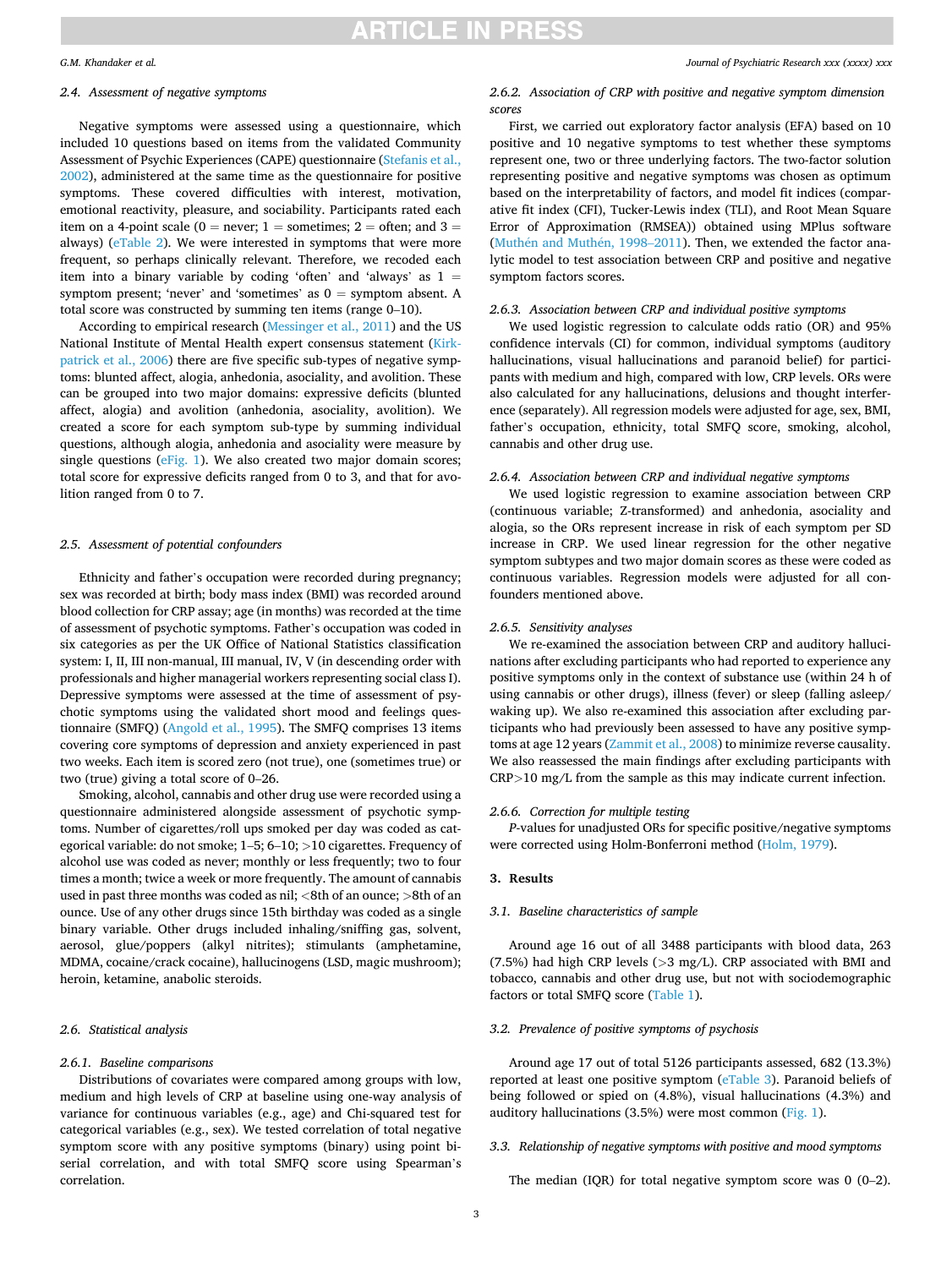### *G.M. Khandaker et al.*

# *2.4. Assessment of negative symptoms*

Negative symptoms were assessed using a questionnaire, which included 10 questions based on items from the validated Community Assessment of Psychic Experiences (CAPE) questionnaire [\(Stefanis et al.,](#page-8-0)  [2002\)](#page-8-0), administered at the same time as the questionnaire for positive symptoms. These covered difficulties with interest, motivation, emotional reactivity, pleasure, and sociability. Participants rated each item on a 4-point scale ( $0 =$  never;  $1 =$  sometimes;  $2 =$  often; and  $3 =$ always) (eTable 2). We were interested in symptoms that were more frequent, so perhaps clinically relevant. Therefore, we recoded each item into a binary variable by coding 'often' and 'always' as  $1 =$ symptom present; 'never' and 'sometimes' as  $0 =$  symptom absent. A total score was constructed by summing ten items (range 0–10).

According to empirical research [\(Messinger et al., 2011\)](#page-8-0) and the US National Institute of Mental Health expert consensus statement [\(Kirk](#page-8-0)[patrick et al., 2006](#page-8-0)) there are five specific sub-types of negative symptoms: blunted affect, alogia, anhedonia, asociality, and avolition. These can be grouped into two major domains: expressive deficits (blunted affect, alogia) and avolition (anhedonia, asociality, avolition). We created a score for each symptom sub-type by summing individual questions, although alogia, anhedonia and asociality were measure by single questions (eFig. 1). We also created two major domain scores; total score for expressive deficits ranged from 0 to 3, and that for avolition ranged from 0 to 7.

### *2.5. Assessment of potential confounders*

Ethnicity and father's occupation were recorded during pregnancy; sex was recorded at birth; body mass index (BMI) was recorded around blood collection for CRP assay; age (in months) was recorded at the time of assessment of psychotic symptoms. Father's occupation was coded in six categories as per the UK Office of National Statistics classification system: I, II, III non-manual, III manual, IV, V (in descending order with professionals and higher managerial workers representing social class I). Depressive symptoms were assessed at the time of assessment of psychotic symptoms using the validated short mood and feelings questionnaire (SMFQ) ([Angold et al., 1995](#page-7-0)). The SMFQ comprises 13 items covering core symptoms of depression and anxiety experienced in past two weeks. Each item is scored zero (not true), one (sometimes true) or two (true) giving a total score of 0–26.

Smoking, alcohol, cannabis and other drug use were recorded using a questionnaire administered alongside assessment of psychotic symptoms. Number of cigarettes/roll ups smoked per day was coded as categorical variable: do not smoke; 1–5; 6–10; *>*10 cigarettes. Frequency of alcohol use was coded as never; monthly or less frequently; two to four times a month; twice a week or more frequently. The amount of cannabis used in past three months was coded as nil; *<*8th of an ounce; *>*8th of an ounce. Use of any other drugs since 15th birthday was coded as a single binary variable. Other drugs included inhaling/sniffing gas, solvent, aerosol, glue/poppers (alkyl nitrites); stimulants (amphetamine, MDMA, cocaine/crack cocaine), hallucinogens (LSD, magic mushroom); heroin, ketamine, anabolic steroids.

## *2.6. Statistical analysis*

#### *2.6.1. Baseline comparisons*

Distributions of covariates were compared among groups with low, medium and high levels of CRP at baseline using one-way analysis of variance for continuous variables (e.g., age) and Chi-squared test for categorical variables (e.g., sex). We tested correlation of total negative symptom score with any positive symptoms (binary) using point biserial correlation, and with total SMFQ score using Spearman's correlation.

### *Journal of Psychiatric Research xxx (xxxx) xxx*

# *2.6.2. Association of CRP with positive and negative symptom dimension scores*

First, we carried out exploratory factor analysis (EFA) based on 10 positive and 10 negative symptoms to test whether these symptoms represent one, two or three underlying factors. The two-factor solution representing positive and negative symptoms was chosen as optimum based on the interpretability of factors, and model fit indices (comparative fit index (CFI), Tucker-Lewis index (TLI), and Root Mean Square Error of Approximation (RMSEA)) obtained using MPlus software (Muthén and Muthén, 1998–2011). Then, we extended the factor analytic model to test association between CRP and positive and negative symptom factors scores.

### *2.6.3. Association between CRP and individual positive symptoms*

We used logistic regression to calculate odds ratio (OR) and 95% confidence intervals (CI) for common, individual symptoms (auditory hallucinations, visual hallucinations and paranoid belief) for participants with medium and high, compared with low, CRP levels. ORs were also calculated for any hallucinations, delusions and thought interference (separately). All regression models were adjusted for age, sex, BMI, father's occupation, ethnicity, total SMFQ score, smoking, alcohol, cannabis and other drug use.

# *2.6.4. Association between CRP and individual negative symptoms*

We used logistic regression to examine association between CRP (continuous variable; Z-transformed) and anhedonia, asociality and alogia, so the ORs represent increase in risk of each symptom per SD increase in CRP. We used linear regression for the other negative symptom subtypes and two major domain scores as these were coded as continuous variables. Regression models were adjusted for all confounders mentioned above.

## *2.6.5. Sensitivity analyses*

We re-examined the association between CRP and auditory hallucinations after excluding participants who had reported to experience any positive symptoms only in the context of substance use (within 24 h of using cannabis or other drugs), illness (fever) or sleep (falling asleep/ waking up). We also re-examined this association after excluding participants who had previously been assessed to have any positive symptoms at age 12 years [\(Zammit et al., 2008](#page-8-0)) to minimize reverse causality. We also reassessed the main findings after excluding participants with CRP*>*10 mg/L from the sample as this may indicate current infection.

## *2.6.6. Correction for multiple testing*

*P*-values for unadjusted ORs for specific positive/negative symptoms were corrected using Holm-Bonferroni method [\(Holm, 1979\)](#page-8-0).

## **3. Results**

### *3.1. Baseline characteristics of sample*

Around age 16 out of all 3488 participants with blood data, 263 (7.5%) had high CRP levels (*>*3 mg/L). CRP associated with BMI and tobacco, cannabis and other drug use, but not with sociodemographic factors or total SMFQ score [\(Table 1\)](#page-3-0).

## *3.2. Prevalence of positive symptoms of psychosis*

Around age 17 out of total 5126 participants assessed, 682 (13.3%) reported at least one positive symptom (eTable 3). Paranoid beliefs of being followed or spied on (4.8%), visual hallucinations (4.3%) and auditory hallucinations (3.5%) were most common [\(Fig. 1](#page-4-0)).

## *3.3. Relationship of negative symptoms with positive and mood symptoms*

The median (IQR) for total negative symptom score was 0 (0–2).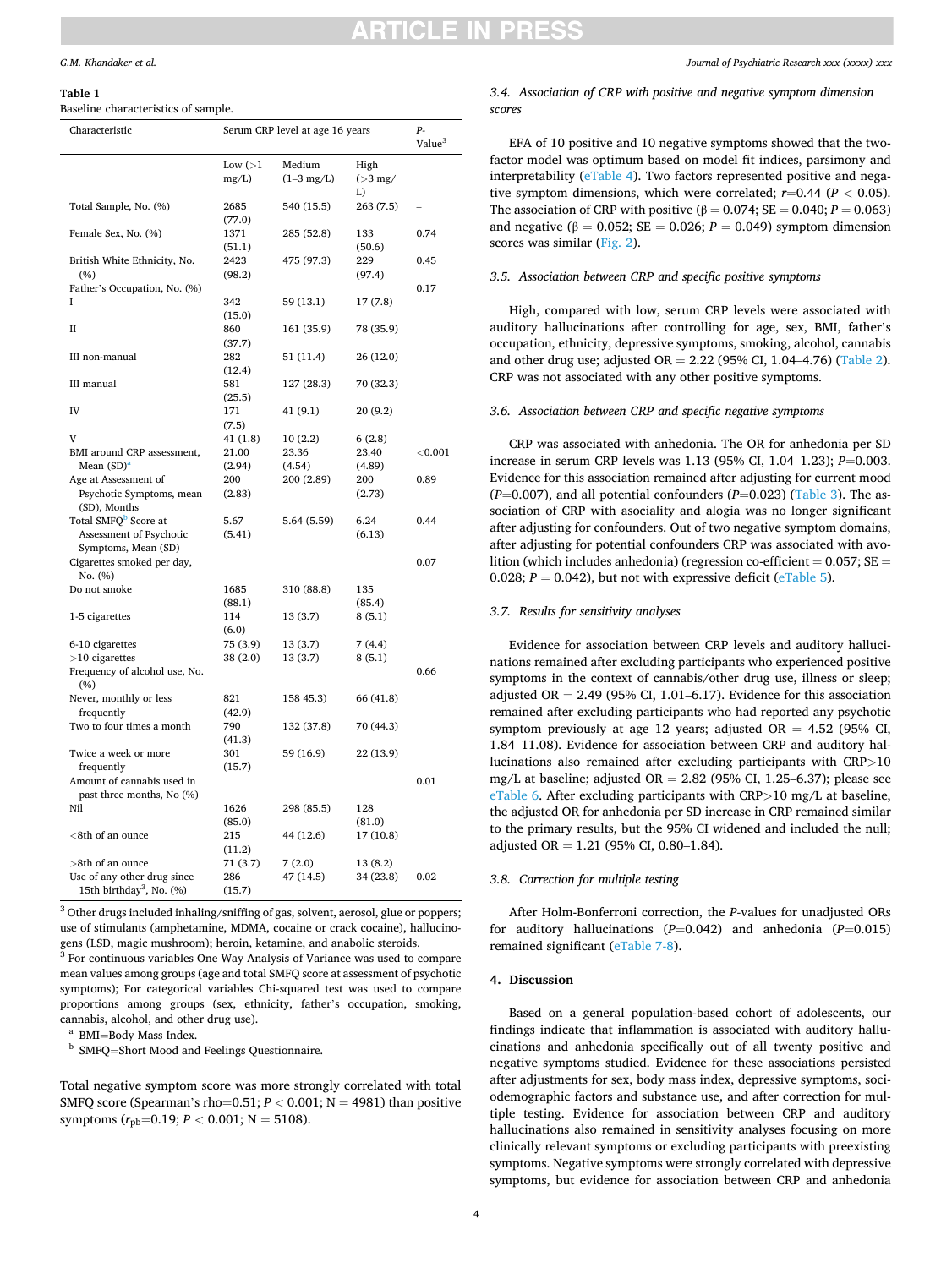# CI E IN PRE

## <span id="page-3-0"></span>*G.M. Khandaker et al.*

#### **Table 1**

Baseline characteristics of sample.

| Value <sup>3</sup><br>Low $(>1)$<br>Medium<br>High<br>mg/L)<br>$(1-3$ mg/L)<br>$(>3$ mg/<br>L)<br>2685<br>540 (15.5)<br>263 (7.5)<br>Total Sample, No. (%)<br>(77.0) |  |
|----------------------------------------------------------------------------------------------------------------------------------------------------------------------|--|
|                                                                                                                                                                      |  |
|                                                                                                                                                                      |  |
|                                                                                                                                                                      |  |
|                                                                                                                                                                      |  |
| Female Sex, No. (%)<br>1371<br>285 (52.8)<br>133<br>0.74<br>(50.6)<br>(51.1)                                                                                         |  |
| 2423<br>475 (97.3)<br>229<br>British White Ethnicity, No.<br>0.45<br>(%)<br>(98.2)<br>(97.4)                                                                         |  |
| Father's Occupation, No. (%)<br>0.17                                                                                                                                 |  |
| 342<br>59 (13.1)<br>17(7.8)<br>I<br>(15.0)                                                                                                                           |  |
| $_{\rm II}$<br>860<br>161 (35.9)<br>78 (35.9)<br>(37.7)                                                                                                              |  |
| III non-manual<br>282<br>51 (11.4)<br>26 (12.0)<br>(12.4)                                                                                                            |  |
| III manual<br>127 (28.3)<br>70 (32.3)<br>581<br>(25.5)                                                                                                               |  |
| IV<br>171<br>41 (9.1)<br>20 (9.2)<br>(7.5)                                                                                                                           |  |
| v<br>41(1.8)<br>10(2.2)<br>6(2.8)                                                                                                                                    |  |
| BMI around CRP assessment,<br>23.40<br>< 0.001<br>21.00<br>23.36                                                                                                     |  |
| Mean $(SD)^a$<br>(2.94)<br>(4.54)<br>(4.89)                                                                                                                          |  |
| Age at Assessment of<br>200<br>200 (2.89)<br>200<br>0.89                                                                                                             |  |
| Psychotic Symptoms, mean<br>(2.83)<br>(2.73)<br>(SD), Months                                                                                                         |  |
| Total SMFQ <sup>b</sup> Score at<br>6.24<br>0.44<br>5.67<br>5.64 (5.59)<br>Assessment of Psychotic<br>(5.41)<br>(6.13)                                               |  |
| Symptoms, Mean (SD)<br>Cigarettes smoked per day,<br>0.07                                                                                                            |  |
| No. (%)                                                                                                                                                              |  |
| Do not smoke<br>1685<br>310 (88.8)<br>135<br>(88.1)<br>(85.4)                                                                                                        |  |
| 114<br>13 (3.7)<br>8(5.1)<br>1-5 cigarettes<br>(6.0)                                                                                                                 |  |
| 6-10 cigarettes<br>75 (3.9)<br>13 (3.7)<br>7(4.4)                                                                                                                    |  |
| $>10$ cigarettes<br>38 (2.0)<br>13 (3.7)<br>8(5.1)                                                                                                                   |  |
| Frequency of alcohol use, No.<br>0.66<br>(%)                                                                                                                         |  |
| Never, monthly or less<br>821<br>158 45.3)<br>66 (41.8)<br>frequently<br>(42.9)                                                                                      |  |
| Two to four times a month<br>790<br>132 (37.8)<br>70 (44.3)<br>(41.3)                                                                                                |  |
| Twice a week or more<br>301<br>59 (16.9)<br>22 (13.9)                                                                                                                |  |
| (15.7)<br>frequently<br>0.01                                                                                                                                         |  |
| Amount of cannabis used in<br>past three months, No (%)                                                                                                              |  |
| Nil<br>1626<br>298 (85.5)<br>128<br>(85.0)<br>(81.0)                                                                                                                 |  |
| $<$ 8th of an ounce<br>215<br>44 (12.6)<br>17 (10.8)<br>(11.2)                                                                                                       |  |
| >8th of an ounce<br>71 (3.7)<br>7(2.0)<br>13 (8.2)                                                                                                                   |  |
| Use of any other drug since<br>286<br>47 (14.5)<br>34 (23.8)<br>0.02<br>15th birthday <sup>3</sup> , No. (%)<br>(15.7)                                               |  |

 $^3$  Other drugs included inhaling/sniffing of gas, solvent, aerosol, glue or poppers; use of stimulants (amphetamine, MDMA, cocaine or crack cocaine), hallucino-<br>gens (LSD, magic mushroom); heroin, ketamine, and anabolic steroids.

 $3$  For continuous variables One Way Analysis of Variance was used to compare mean values among groups (age and total SMFQ score at assessment of psychotic symptoms); For categorical variables Chi-squared test was used to compare proportions among groups (sex, ethnicity, father's occupation, smoking, % cannabis, alcohol, and other drug use). <br> $^\mathrm{a}$  BMI=Body Mass Index. b SMFQ=Short Mood and Feelings Questionnaire.

Total negative symptom score was more strongly correlated with total SMFQ score (Spearman's rho=0.51;  $P < 0.001$ ;  $N = 4981$ ) than positive symptoms  $(r_{\text{pb}}=0.19; P < 0.001; N = 5108)$ .

*Journal of Psychiatric Research xxx (xxxx) xxx*

# *3.4. Association of CRP with positive and negative symptom dimension scores*

EFA of 10 positive and 10 negative symptoms showed that the twofactor model was optimum based on model fit indices, parsimony and interpretability (eTable 4). Two factors represented positive and negative symptom dimensions, which were correlated;  $r=0.44$  ( $P < 0.05$ ). The association of CRP with positive ( $\beta = 0.074$ ; SE = 0.040;  $P = 0.063$ ) and negative ( $\beta = 0.052$ ; SE = 0.026;  $P = 0.049$ ) symptom dimension scores was similar ([Fig. 2](#page-4-0)).

# *3.5. Association between CRP and specific positive symptoms*

High, compared with low, serum CRP levels were associated with auditory hallucinations after controlling for age, sex, BMI, father's occupation, ethnicity, depressive symptoms, smoking, alcohol, cannabis and other drug use; adjusted OR = 2.22 (95% CI, 1.04–4.76) [\(Table 2](#page-5-0)). CRP was not associated with any other positive symptoms.

## *3.6. Association between CRP and specific negative symptoms*

CRP was associated with anhedonia. The OR for anhedonia per SD increase in serum CRP levels was 1.13 (95% CI, 1.04–1.23); *P*=0.003. Evidence for this association remained after adjusting for current mood  $(P=0.007)$ , and all potential confounders  $(P=0.023)$  ([Table 3](#page-6-0)). The association of CRP with asociality and alogia was no longer significant after adjusting for confounders. Out of two negative symptom domains, after adjusting for potential confounders CRP was associated with avolition (which includes anhedonia) (regression co-efficient  $= 0.057$ ; SE  $=$ 0.028;  $P = 0.042$ ), but not with expressive deficit ( $e$ Table 5).

### *3.7. Results for sensitivity analyses*

Evidence for association between CRP levels and auditory hallucinations remained after excluding participants who experienced positive symptoms in the context of cannabis/other drug use, illness or sleep; adjusted OR = 2.49 (95% CI, 1.01–6.17). Evidence for this association remained after excluding participants who had reported any psychotic symptom previously at age 12 years; adjusted  $OR = 4.52$  (95% CI, 1.84–11.08). Evidence for association between CRP and auditory hallucinations also remained after excluding participants with CRP*>*10 mg/L at baseline; adjusted OR =  $2.82$  (95% CI, 1.25–6.37); please see eTable 6. After excluding participants with CRP*>*10 mg/L at baseline, the adjusted OR for anhedonia per SD increase in CRP remained similar to the primary results, but the 95% CI widened and included the null; adjusted OR = 1.21 (95% CI, 0.80–1.84).

# *3.8. Correction for multiple testing*

After Holm-Bonferroni correction, the *P-*values for unadjusted ORs for auditory hallucinations (*P*=0.042) and anhedonia (*P*=0.015) remained significant (eTable 7-8).

## **4. Discussion**

Based on a general population-based cohort of adolescents, our findings indicate that inflammation is associated with auditory hallucinations and anhedonia specifically out of all twenty positive and negative symptoms studied. Evidence for these associations persisted after adjustments for sex, body mass index, depressive symptoms, sociodemographic factors and substance use, and after correction for multiple testing. Evidence for association between CRP and auditory hallucinations also remained in sensitivity analyses focusing on more clinically relevant symptoms or excluding participants with preexisting symptoms. Negative symptoms were strongly correlated with depressive symptoms, but evidence for association between CRP and anhedonia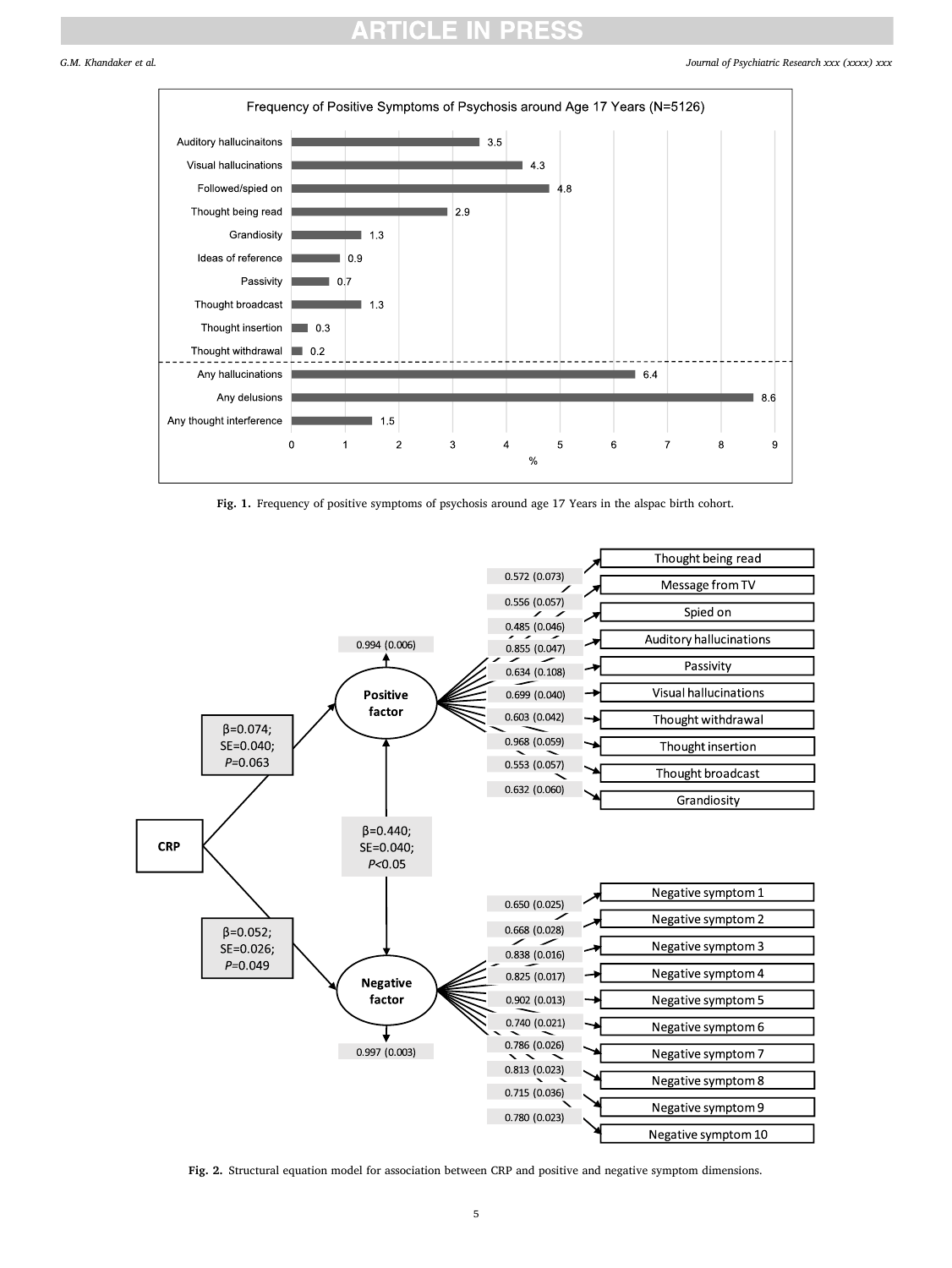# ITICI E IN PR

<span id="page-4-0"></span>

Fig. 1. Frequency of positive symptoms of psychosis around age 17 Years in the alspac birth cohort.



**Fig. 2.** Structural equation model for association between CRP and positive and negative symptom dimensions.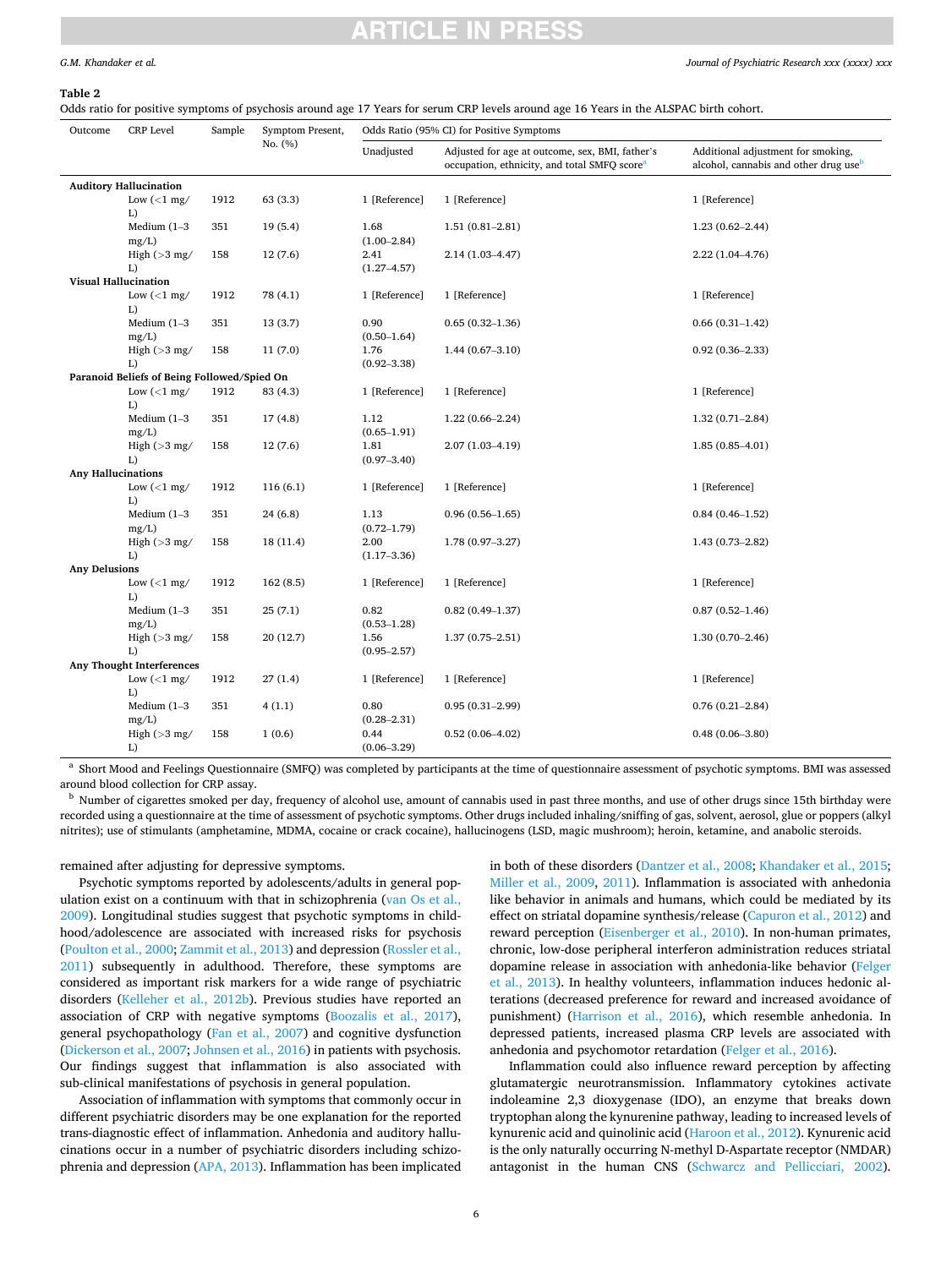# TICI E IN

### <span id="page-5-0"></span>*G.M. Khandaker et al.*

#### **Table 2**

Odds ratio for positive symptoms of psychosis around age 17 Years for serum CRP levels around age 16 Years in the ALSPAC birth cohort.

| Outcome                   | <b>CRP</b> Level                                 | Sample | Symptom Present, |                         | Odds Ratio (95% CI) for Positive Symptoms                                                                   |                                                                                         |  |
|---------------------------|--------------------------------------------------|--------|------------------|-------------------------|-------------------------------------------------------------------------------------------------------------|-----------------------------------------------------------------------------------------|--|
|                           |                                                  |        | No. (%)          | Unadjusted              | Adjusted for age at outcome, sex, BMI, father's<br>occupation, ethnicity, and total SMFQ score <sup>a</sup> | Additional adjustment for smoking,<br>alcohol, cannabis and other drug use <sup>b</sup> |  |
|                           | <b>Auditory Hallucination</b>                    |        |                  |                         |                                                                                                             |                                                                                         |  |
|                           | Low $\left(\langle 1 \text{ mg}\right)$<br>L)    | 1912   | 63 (3.3)         | 1 [Reference]           | 1 [Reference]                                                                                               | 1 [Reference]                                                                           |  |
|                           | Medium $(1-3)$<br>mg/L                           | 351    | 19(5.4)          | 1.68<br>$(1.00 - 2.84)$ | $1.51(0.81 - 2.81)$                                                                                         | $1.23(0.62 - 2.44)$                                                                     |  |
|                           | High $(>3$ mg/<br>L)                             | 158    | 12(7.6)          | 2.41<br>$(1.27 - 4.57)$ | 2.14 (1.03-4.47)                                                                                            | 2.22 (1.04-4.76)                                                                        |  |
|                           | <b>Visual Hallucination</b>                      |        |                  |                         |                                                                                                             |                                                                                         |  |
|                           | Low $(<1$ mg/<br>L)                              | 1912   | 78 (4.1)         | 1 [Reference]           | 1 [Reference]                                                                                               | 1 [Reference]                                                                           |  |
|                           | Medium $(1-3)$<br>mg/L)                          | 351    | 13(3.7)          | 0.90<br>$(0.50 - 1.64)$ | $0.65(0.32 - 1.36)$                                                                                         | $0.66(0.31-1.42)$                                                                       |  |
|                           | High $(>3$ mg/<br>L)                             | 158    | 11(7.0)          | 1.76<br>$(0.92 - 3.38)$ | $1.44(0.67-3.10)$                                                                                           | $0.92(0.36 - 2.33)$                                                                     |  |
|                           | Paranoid Beliefs of Being Followed/Spied On      |        |                  |                         |                                                                                                             |                                                                                         |  |
|                           | Low $\left(\langle 1 \text{ mg} / \right)$<br>L) | 1912   | 83 (4.3)         | 1 [Reference]           | 1 [Reference]                                                                                               | 1 [Reference]                                                                           |  |
|                           | Medium $(1-3)$<br>mg/L)                          | 351    | 17(4.8)          | 1.12<br>$(0.65 - 1.91)$ | $1.22(0.66 - 2.24)$                                                                                         | $1.32(0.71 - 2.84)$                                                                     |  |
|                           | High $(>3$ mg/<br>L)                             | 158    | 12(7.6)          | 1.81<br>$(0.97 - 3.40)$ | 2.07 (1.03-4.19)                                                                                            | $1.85(0.85 - 4.01)$                                                                     |  |
| <b>Any Hallucinations</b> |                                                  |        |                  |                         |                                                                                                             |                                                                                         |  |
|                           | Low $\left(\langle 1 \text{ mg} / \right)$<br>L) | 1912   | 116(6.1)         | 1 [Reference]           | 1 [Reference]                                                                                               | 1 [Reference]                                                                           |  |
|                           | Medium $(1-3)$<br>mg/L                           | 351    | 24(6.8)          | 1.13<br>$(0.72 - 1.79)$ | $0.96(0.56 - 1.65)$                                                                                         | $0.84(0.46 - 1.52)$                                                                     |  |
|                           | High $(>3$ mg/<br>L)                             | 158    | 18 (11.4)        | 2.00<br>$(1.17 - 3.36)$ | $1.78(0.97 - 3.27)$                                                                                         | $1.43(0.73 - 2.82)$                                                                     |  |
| <b>Any Delusions</b>      |                                                  |        |                  |                         |                                                                                                             |                                                                                         |  |
|                           | Low $(<1$ mg/<br>L)                              | 1912   | 162(8.5)         | 1 [Reference]           | 1 [Reference]                                                                                               | 1 [Reference]                                                                           |  |
|                           | Medium $(1-3)$<br>mg/L)                          | 351    | 25(7.1)          | 0.82<br>$(0.53 - 1.28)$ | $0.82(0.49-1.37)$                                                                                           | $0.87(0.52 - 1.46)$                                                                     |  |
|                           | High $(>3$ mg/<br>L)                             | 158    | 20(12.7)         | 1.56<br>$(0.95 - 2.57)$ | $1.37(0.75 - 2.51)$                                                                                         | $1.30(0.70 - 2.46)$                                                                     |  |
|                           | Any Thought Interferences                        |        |                  |                         |                                                                                                             |                                                                                         |  |
|                           | Low $\left(\langle 1 \text{ mg} / \right)$<br>L) | 1912   | 27(1.4)          | 1 [Reference]           | 1 [Reference]                                                                                               | 1 [Reference]                                                                           |  |
|                           | Medium $(1-3)$<br>mg/L                           | 351    | 4(1.1)           | 0.80<br>$(0.28 - 2.31)$ | $0.95(0.31-2.99)$                                                                                           | $0.76(0.21 - 2.84)$                                                                     |  |
|                           | High $(>3$ mg/<br>L)                             | 158    | 1(0.6)           | 0.44<br>$(0.06 - 3.29)$ | $0.52(0.06 - 4.02)$                                                                                         | $0.48(0.06 - 3.80)$                                                                     |  |

<sup>a</sup> Short Mood and Feelings Questionnaire (SMFQ) was completed by participants at the time of questionnaire assessment of psychotic symptoms. BMI was assessed around blood collection for CRP assay.<br><sup>b</sup> Number of cigarettes smoked per day, frequency of alcohol use, amount of cannabis used in past three months, and use of other drugs since 15th birthday were

recorded using a questionnaire at the time of assessment of psychotic symptoms. Other drugs included inhaling/sniffing of gas, solvent, aerosol, glue or poppers (alkyl nitrites); use of stimulants (amphetamine, MDMA, cocaine or crack cocaine), hallucinogens (LSD, magic mushroom); heroin, ketamine, and anabolic steroids.

remained after adjusting for depressive symptoms.

Psychotic symptoms reported by adolescents/adults in general population exist on a continuum with that in schizophrenia ([van Os et al.,](#page-8-0)  [2009\)](#page-8-0). Longitudinal studies suggest that psychotic symptoms in childhood/adolescence are associated with increased risks for psychosis ([Poulton et al., 2000; Zammit et al., 2013\)](#page-8-0) and depression [\(Rossler et al.,](#page-8-0)  [2011\)](#page-8-0) subsequently in adulthood. Therefore, these symptoms are considered as important risk markers for a wide range of psychiatric disorders [\(Kelleher et al., 2012b\)](#page-8-0). Previous studies have reported an association of CRP with negative symptoms ([Boozalis et al., 2017](#page-7-0)), general psychopathology [\(Fan et al., 2007\)](#page-7-0) and cognitive dysfunction ([Dickerson et al., 2007;](#page-7-0) [Johnsen et al., 2016](#page-8-0)) in patients with psychosis. Our findings suggest that inflammation is also associated with sub-clinical manifestations of psychosis in general population.

Association of inflammation with symptoms that commonly occur in different psychiatric disorders may be one explanation for the reported trans-diagnostic effect of inflammation. Anhedonia and auditory hallucinations occur in a number of psychiatric disorders including schizophrenia and depression [\(APA, 2013\)](#page-7-0). Inflammation has been implicated

in both of these disorders [\(Dantzer et al., 2008;](#page-7-0) [Khandaker et al., 2015](#page-8-0); [Miller et al., 2009](#page-8-0), [2011](#page-8-0)). Inflammation is associated with anhedonia like behavior in animals and humans, which could be mediated by its effect on striatal dopamine synthesis/release ([Capuron et al., 2012\)](#page-7-0) and reward perception ([Eisenberger et al., 2010](#page-7-0)). In non-human primates, chronic, low-dose peripheral interferon administration reduces striatal dopamine release in association with anhedonia-like behavior ([Felger](#page-7-0)  [et al., 2013\)](#page-7-0). In healthy volunteers, inflammation induces hedonic alterations (decreased preference for reward and increased avoidance of punishment) [\(Harrison et al., 2016\)](#page-8-0), which resemble anhedonia. In depressed patients, increased plasma CRP levels are associated with anhedonia and psychomotor retardation [\(Felger et al., 2016\)](#page-7-0).

Inflammation could also influence reward perception by affecting glutamatergic neurotransmission. Inflammatory cytokines activate indoleamine 2,3 dioxygenase (IDO), an enzyme that breaks down tryptophan along the kynurenine pathway, leading to increased levels of kynurenic acid and quinolinic acid [\(Haroon et al., 2012](#page-8-0)). Kynurenic acid is the only naturally occurring N-methyl D-Aspartate receptor (NMDAR) antagonist in the human CNS [\(Schwarcz and Pellicciari, 2002](#page-8-0)).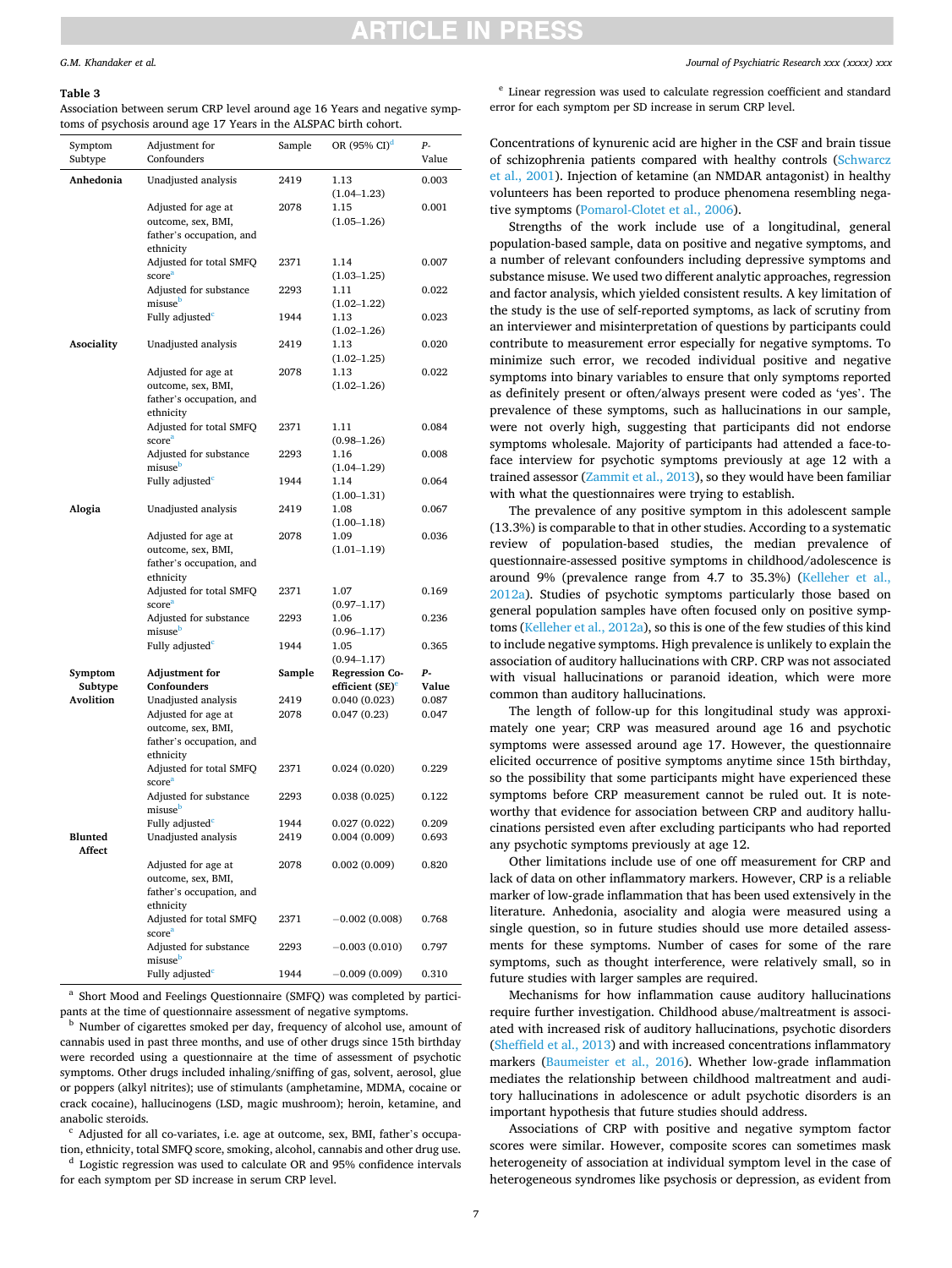# TICI F IN PRF

#### <span id="page-6-0"></span>**Table 3**

Association between serum CRP level around age 16 Years and negative symptoms of psychosis around age 17 Years in the ALSPAC birth cohort.

| Symptom<br>Subtype | Adjustment for<br>Confounders | Sample | OR (95% CI) <sup>d</sup>    | р.<br>Value |
|--------------------|-------------------------------|--------|-----------------------------|-------------|
|                    |                               |        |                             |             |
| Anhedonia          | Unadjusted analysis           | 2419   | 1.13<br>$(1.04 - 1.23)$     | 0.003       |
|                    | Adjusted for age at           | 2078   | 1.15                        | 0.001       |
|                    | outcome, sex, BMI,            |        | $(1.05 - 1.26)$             |             |
|                    | father's occupation, and      |        |                             |             |
|                    | ethnicity                     |        |                             |             |
|                    | Adjusted for total SMFQ       | 2371   | 1.14                        | 0.007       |
|                    | score <sup>a</sup>            |        |                             |             |
|                    | Adjusted for substance        | 2293   | $(1.03 - 1.25)$<br>1.11     | 0.022       |
|                    | misuse <sup>b</sup>           |        |                             |             |
|                    |                               | 1944   | $(1.02 - 1.22)$             |             |
|                    | Fully adjusted <sup>c</sup>   |        | 1.13                        | 0.023       |
|                    |                               |        | $(1.02 - 1.26)$             |             |
| Asociality         | Unadjusted analysis           | 2419   | 1.13                        | 0.020       |
|                    |                               |        | $(1.02 - 1.25)$             |             |
|                    | Adjusted for age at           | 2078   | 1.13                        | 0.022       |
|                    | outcome, sex, BMI,            |        | $(1.02 - 1.26)$             |             |
|                    | father's occupation, and      |        |                             |             |
|                    | ethnicity                     |        |                             |             |
|                    | Adjusted for total SMFQ       | 2371   | 1.11                        | 0.084       |
|                    | score <sup>a</sup>            |        | $(0.98 - 1.26)$             |             |
|                    | Adjusted for substance        | 2293   | 1.16                        | 0.008       |
|                    | misuse <sup>b</sup>           |        | $(1.04 - 1.29)$             |             |
|                    | Fully adjusted <sup>c</sup>   | 1944   | 1.14                        | 0.064       |
|                    |                               |        | $(1.00-1.31)$               |             |
| Alogia             | Unadjusted analysis           | 2419   | 1.08                        | 0.067       |
|                    |                               |        | $(1.00-1.18)$               |             |
|                    | Adjusted for age at           | 2078   | 1.09                        | 0.036       |
|                    | outcome, sex, BMI,            |        | $(1.01 - 1.19)$             |             |
|                    | father's occupation, and      |        |                             |             |
|                    | ethnicity                     |        |                             |             |
|                    | Adjusted for total SMFQ       | 2371   | 1.07                        | 0.169       |
|                    | score <sup>a</sup>            |        | $(0.97 - 1.17)$             |             |
|                    | Adjusted for substance        | 2293   | 1.06                        | 0.236       |
|                    | misuse <sup>b</sup>           |        | $(0.96 - 1.17)$             |             |
|                    | Fully adjusted <sup>c</sup>   | 1944   | 1.05                        | 0.365       |
|                    |                               |        | $(0.94 - 1.17)$             |             |
| Symptom            | <b>Adjustment</b> for         | Sample | <b>Regression Co-</b>       | р.          |
| Subtype            | Confounders                   |        | efficient (SE) <sup>e</sup> | Value       |
| <b>Avolition</b>   | Unadjusted analysis           | 2419   | 0.040(0.023)                | 0.087       |
|                    | Adjusted for age at           | 2078   | 0.047(0.23)                 | 0.047       |
|                    | outcome, sex, BMI,            |        |                             |             |
|                    | father's occupation, and      |        |                             |             |
|                    | ethnicity                     |        |                             |             |
|                    | Adjusted for total SMFQ       | 2371   | 0.024(0.020)                | 0.229       |
|                    | score <sup>a</sup>            |        |                             |             |
|                    | Adjusted for substance        | 2293   | 0.038(0.025)                | 0.122       |
|                    | misuse <sup>b</sup>           |        |                             |             |
|                    | Fully adjusted <sup>c</sup>   | 1944   | 0.027(0.022)                | 0.209       |
| Blunted            | Unadjusted analysis           | 2419   | 0.004(0.009)                | 0.693       |
| Affect             |                               |        |                             |             |
|                    | Adjusted for age at           | 2078   | 0.002(0.009)                | 0.820       |
|                    | outcome, sex, BMI,            |        |                             |             |
|                    | father's occupation, and      |        |                             |             |
|                    | ethnicity                     |        |                             |             |
|                    | Adjusted for total SMFQ       | 2371   | $-0.002(0.008)$             | 0.768       |
|                    | score <sup>a</sup>            |        |                             |             |
|                    | Adjusted for substance        | 2293   | $-0.003(0.010)$             | 0.797       |
|                    | misuse <sup>b</sup>           |        |                             |             |
|                    | Fully adjusted <sup>c</sup>   | 1944   | $-0.009(0.009)$             | 0.310       |

 $^{\rm a}$  Short Mood and Feelings Questionnaire (SMFQ) was completed by participants at the time of questionnaire assessment of negative symptoms.

<sup>b</sup> Number of cigarettes smoked per day, frequency of alcohol use, amount of cannabis used in past three months, and use of other drugs since 15th birthday were recorded using a questionnaire at the time of assessment of psychotic symptoms. Other drugs included inhaling/sniffing of gas, solvent, aerosol, glue or poppers (alkyl nitrites); use of stimulants (amphetamine, MDMA, cocaine or crack cocaine), hallucinogens (LSD, magic mushroom); heroin, ketamine, and anabolic steroids.<br> $\cdot$  Adjusted for all co-variates, i.e. age at outcome, sex, BMI, father's occupa-

tion, ethnicity, total SMFQ score, smoking, alcohol, cannabis and other drug use.  $^\mathrm{d}$  Logistic regression was used to calculate OR and 95% confidence intervals for each symptom per SD increase in serum CRP level.

<sup>e</sup> Linear regression was used to calculate regression coefficient and standard error for each symptom per SD increase in serum CRP level.

Concentrations of kynurenic acid are higher in the CSF and brain tissue of schizophrenia patients compared with healthy controls [\(Schwarcz](#page-8-0)  [et al., 2001](#page-8-0)). Injection of ketamine (an NMDAR antagonist) in healthy volunteers has been reported to produce phenomena resembling negative symptoms [\(Pomarol-Clotet et al., 2006](#page-8-0)).

Strengths of the work include use of a longitudinal, general population-based sample, data on positive and negative symptoms, and a number of relevant confounders including depressive symptoms and substance misuse. We used two different analytic approaches, regression and factor analysis, which yielded consistent results. A key limitation of the study is the use of self-reported symptoms, as lack of scrutiny from an interviewer and misinterpretation of questions by participants could contribute to measurement error especially for negative symptoms. To minimize such error, we recoded individual positive and negative symptoms into binary variables to ensure that only symptoms reported as definitely present or often/always present were coded as 'yes'. The prevalence of these symptoms, such as hallucinations in our sample, were not overly high, suggesting that participants did not endorse symptoms wholesale. Majority of participants had attended a face-toface interview for psychotic symptoms previously at age 12 with a trained assessor ([Zammit et al., 2013](#page-8-0)), so they would have been familiar with what the questionnaires were trying to establish.

The prevalence of any positive symptom in this adolescent sample (13.3%) is comparable to that in other studies. According to a systematic review of population-based studies, the median prevalence of questionnaire-assessed positive symptoms in childhood/adolescence is around 9% (prevalence range from 4.7 to 35.3%) [\(Kelleher et al.,](#page-8-0)  [2012a\)](#page-8-0). Studies of psychotic symptoms particularly those based on general population samples have often focused only on positive symptoms [\(Kelleher et al., 2012a\)](#page-8-0), so this is one of the few studies of this kind to include negative symptoms. High prevalence is unlikely to explain the association of auditory hallucinations with CRP. CRP was not associated with visual hallucinations or paranoid ideation, which were more common than auditory hallucinations.

The length of follow-up for this longitudinal study was approximately one year; CRP was measured around age 16 and psychotic symptoms were assessed around age 17. However, the questionnaire elicited occurrence of positive symptoms anytime since 15th birthday, so the possibility that some participants might have experienced these symptoms before CRP measurement cannot be ruled out. It is noteworthy that evidence for association between CRP and auditory hallucinations persisted even after excluding participants who had reported any psychotic symptoms previously at age 12.

Other limitations include use of one off measurement for CRP and lack of data on other inflammatory markers. However, CRP is a reliable marker of low-grade inflammation that has been used extensively in the literature. Anhedonia, asociality and alogia were measured using a single question, so in future studies should use more detailed assessments for these symptoms. Number of cases for some of the rare symptoms, such as thought interference, were relatively small, so in future studies with larger samples are required.

Mechanisms for how inflammation cause auditory hallucinations require further investigation. Childhood abuse/maltreatment is associated with increased risk of auditory hallucinations, psychotic disorders ([Sheffield et al., 2013](#page-8-0)) and with increased concentrations inflammatory markers ([Baumeister et al., 2016](#page-7-0)). Whether low-grade inflammation mediates the relationship between childhood maltreatment and auditory hallucinations in adolescence or adult psychotic disorders is an important hypothesis that future studies should address.

Associations of CRP with positive and negative symptom factor scores were similar. However, composite scores can sometimes mask heterogeneity of association at individual symptom level in the case of heterogeneous syndromes like psychosis or depression, as evident from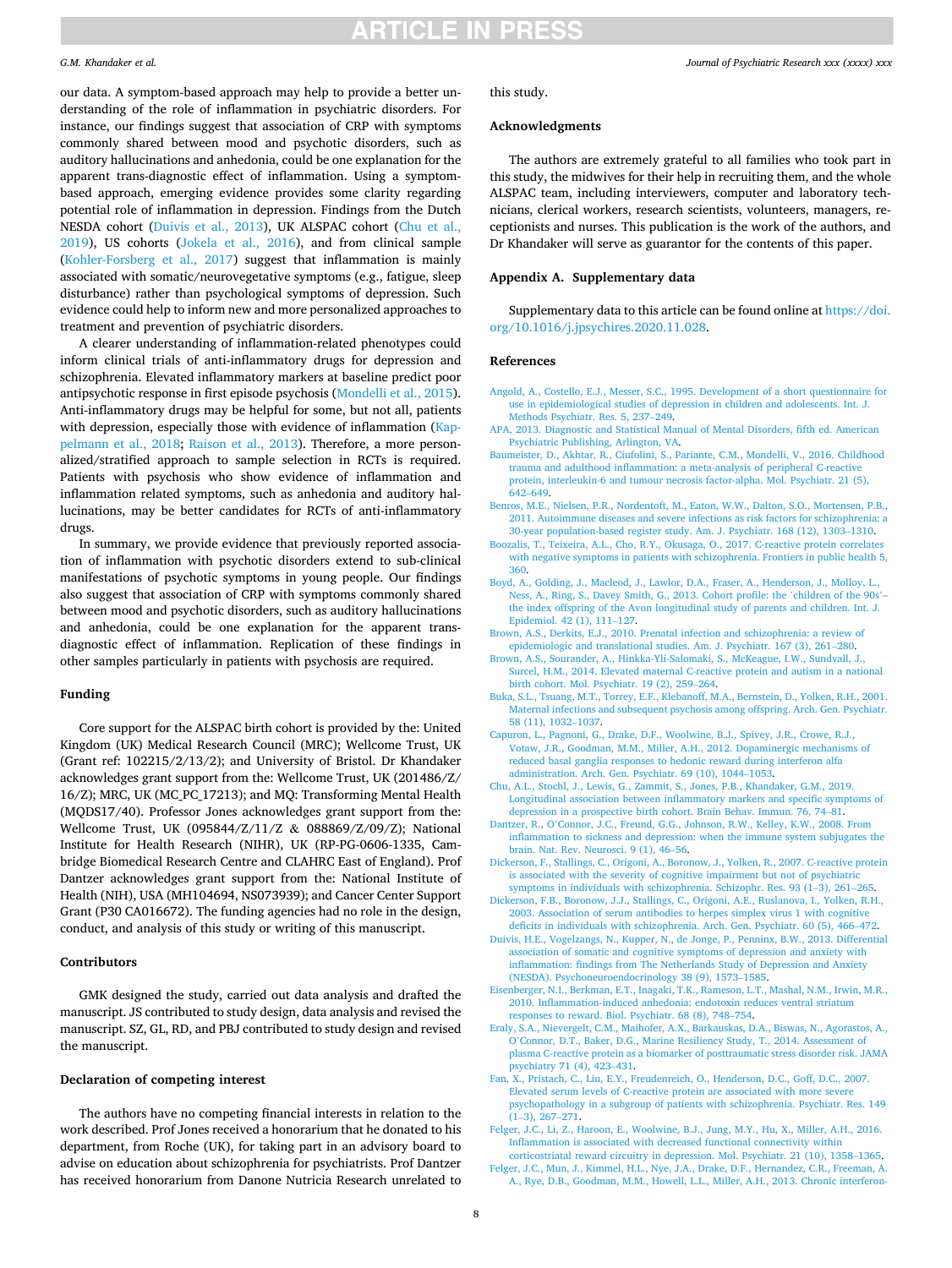### <span id="page-7-0"></span>*G.M. Khandaker et al.*

our data. A symptom-based approach may help to provide a better understanding of the role of inflammation in psychiatric disorders. For instance, our findings suggest that association of CRP with symptoms commonly shared between mood and psychotic disorders, such as auditory hallucinations and anhedonia, could be one explanation for the apparent trans-diagnostic effect of inflammation. Using a symptombased approach, emerging evidence provides some clarity regarding potential role of inflammation in depression. Findings from the Dutch NESDA cohort (Duivis et al., 2013), UK ALSPAC cohort (Chu et al., 2019), US cohorts [\(Jokela et al., 2016](#page-8-0)), and from clinical sample ([Kohler-Forsberg et al., 2017\)](#page-8-0) suggest that inflammation is mainly associated with somatic/neurovegetative symptoms (e.g., fatigue, sleep disturbance) rather than psychological symptoms of depression. Such evidence could help to inform new and more personalized approaches to treatment and prevention of psychiatric disorders.

A clearer understanding of inflammation-related phenotypes could inform clinical trials of anti-inflammatory drugs for depression and schizophrenia. Elevated inflammatory markers at baseline predict poor antipsychotic response in first episode psychosis ([Mondelli et al., 2015](#page-8-0)). Anti-inflammatory drugs may be helpful for some, but not all, patients with depression, especially those with evidence of inflammation ([Kap](#page-8-0)[pelmann et al., 2018;](#page-8-0) [Raison et al., 2013](#page-8-0)). Therefore, a more personalized/stratified approach to sample selection in RCTs is required. Patients with psychosis who show evidence of inflammation and inflammation related symptoms, such as anhedonia and auditory hallucinations, may be better candidates for RCTs of anti-inflammatory drugs.

In summary, we provide evidence that previously reported association of inflammation with psychotic disorders extend to sub-clinical manifestations of psychotic symptoms in young people. Our findings also suggest that association of CRP with symptoms commonly shared between mood and psychotic disorders, such as auditory hallucinations and anhedonia, could be one explanation for the apparent transdiagnostic effect of inflammation. Replication of these findings in other samples particularly in patients with psychosis are required.

## **Funding**

Core support for the ALSPAC birth cohort is provided by the: United Kingdom (UK) Medical Research Council (MRC); Wellcome Trust, UK (Grant ref: 102215/2/13/2); and University of Bristol. Dr Khandaker acknowledges grant support from the: Wellcome Trust, UK (201486/Z/ 16/Z); MRC, UK (MC\_PC\_17213); and MQ: Transforming Mental Health (MQDS17/40). Professor Jones acknowledges grant support from the: Wellcome Trust, UK (095844/Z/11/Z & 088869/Z/09/Z); National Institute for Health Research (NIHR), UK (RP-PG-0606-1335, Cambridge Biomedical Research Centre and CLAHRC East of England). Prof Dantzer acknowledges grant support from the: National Institute of Health (NIH), USA (MH104694, NS073939); and Cancer Center Support Grant (P30 CA016672). The funding agencies had no role in the design, conduct, and analysis of this study or writing of this manuscript.

### **Contributors**

GMK designed the study, carried out data analysis and drafted the manuscript. JS contributed to study design, data analysis and revised the manuscript. SZ, GL, RD, and PBJ contributed to study design and revised the manuscript.

## **Declaration of competing interest**

The authors have no competing financial interests in relation to the work described. Prof Jones received a honorarium that he donated to his department, from Roche (UK), for taking part in an advisory board to advise on education about schizophrenia for psychiatrists. Prof Dantzer has received honorarium from Danone Nutricia Research unrelated to

*Journal of Psychiatric Research xxx (xxxx) xxx*

this study.

## **Acknowledgments**

The authors are extremely grateful to all families who took part in this study, the midwives for their help in recruiting them, and the whole ALSPAC team, including interviewers, computer and laboratory technicians, clerical workers, research scientists, volunteers, managers, receptionists and nurses. This publication is the work of the authors, and Dr Khandaker will serve as guarantor for the contents of this paper.

## **Appendix A. Supplementary data**

Supplementary data to this article can be found online at [https://doi.](https://doi.org/10.1016/j.jpsychires.2020.11.028)  [org/10.1016/j.jpsychires.2020.11.028.](https://doi.org/10.1016/j.jpsychires.2020.11.028)

#### **References**

- [Angold, A., Costello, E.J., Messer, S.C., 1995. Development of a short questionnaire for](http://refhub.elsevier.com/S0022-3956(20)31087-6/sref1) [use in epidemiological studies of depression in children and adolescents. Int. J.](http://refhub.elsevier.com/S0022-3956(20)31087-6/sref1)  [Methods Psychiatr. Res. 5, 237](http://refhub.elsevier.com/S0022-3956(20)31087-6/sref1)–249.
- [APA, 2013. Diagnostic and Statistical Manual of Mental Disorders, fifth ed. American](http://refhub.elsevier.com/S0022-3956(20)31087-6/sref2) [Psychiatric Publishing, Arlington, VA.](http://refhub.elsevier.com/S0022-3956(20)31087-6/sref2)
- [Baumeister, D., Akhtar, R., Ciufolini, S., Pariante, C.M., Mondelli, V., 2016. Childhood](http://refhub.elsevier.com/S0022-3956(20)31087-6/sref3)  [trauma and adulthood inflammation: a meta-analysis of peripheral C-reactive](http://refhub.elsevier.com/S0022-3956(20)31087-6/sref3) [protein, interleukin-6 and tumour necrosis factor-alpha. Mol. Psychiatr. 21 \(5\),](http://refhub.elsevier.com/S0022-3956(20)31087-6/sref3) 642–[649](http://refhub.elsevier.com/S0022-3956(20)31087-6/sref3).
- [Benros, M.E., Nielsen, P.R., Nordentoft, M., Eaton, W.W., Dalton, S.O., Mortensen, P.B.,](http://refhub.elsevier.com/S0022-3956(20)31087-6/sref4)  [2011. Autoimmune diseases and severe infections as risk factors for schizophrenia: a](http://refhub.elsevier.com/S0022-3956(20)31087-6/sref4)  [30-year population-based register study. Am. J. Psychiatr. 168 \(12\), 1303](http://refhub.elsevier.com/S0022-3956(20)31087-6/sref4)–1310.
- [Boozalis, T., Teixeira, A.L., Cho, R.Y., Okusaga, O., 2017. C-reactive protein correlates](http://refhub.elsevier.com/S0022-3956(20)31087-6/sref5) [with negative symptoms in patients with schizophrenia. Frontiers in public health 5,](http://refhub.elsevier.com/S0022-3956(20)31087-6/sref5)  [360](http://refhub.elsevier.com/S0022-3956(20)31087-6/sref5).
- [Boyd, A., Golding, J., Macleod, J., Lawlor, D.A., Fraser, A., Henderson, J., Molloy, L.,](http://refhub.elsevier.com/S0022-3956(20)31087-6/sref6)  [Ness, A., Ring, S., Davey Smith, G., 2013. Cohort profile: the](http://refhub.elsevier.com/S0022-3956(20)31087-6/sref6) 'children of the 90s'– [the index offspring of the Avon longitudinal study of parents and children. Int. J.](http://refhub.elsevier.com/S0022-3956(20)31087-6/sref6)  [Epidemiol. 42 \(1\), 111](http://refhub.elsevier.com/S0022-3956(20)31087-6/sref6)–127.
- [Brown, A.S., Derkits, E.J., 2010. Prenatal infection and schizophrenia: a review of](http://refhub.elsevier.com/S0022-3956(20)31087-6/sref7)  [epidemiologic and translational studies. Am. J. Psychiatr. 167 \(3\), 261](http://refhub.elsevier.com/S0022-3956(20)31087-6/sref7)–280.
- [Brown, A.S., Sourander, A., Hinkka-Yli-Salomaki, S., McKeague, I.W., Sundvall, J.,](http://refhub.elsevier.com/S0022-3956(20)31087-6/sref8)  [Surcel, H.M., 2014. Elevated maternal C-reactive protein and autism in a national](http://refhub.elsevier.com/S0022-3956(20)31087-6/sref8)  [birth cohort. Mol. Psychiatr. 19 \(2\), 259](http://refhub.elsevier.com/S0022-3956(20)31087-6/sref8)–264.
- [Buka, S.L., Tsuang, M.T., Torrey, E.F., Klebanoff, M.A., Bernstein, D., Yolken, R.H., 2001.](http://refhub.elsevier.com/S0022-3956(20)31087-6/sref9)  [Maternal infections and subsequent psychosis among offspring. Arch. Gen. Psychiatr.](http://refhub.elsevier.com/S0022-3956(20)31087-6/sref9)  [58 \(11\), 1032](http://refhub.elsevier.com/S0022-3956(20)31087-6/sref9)–1037.
- [Capuron, L., Pagnoni, G., Drake, D.F., Woolwine, B.J., Spivey, J.R., Crowe, R.J.,](http://refhub.elsevier.com/S0022-3956(20)31087-6/sref10) [Votaw, J.R., Goodman, M.M., Miller, A.H., 2012. Dopaminergic mechanisms of](http://refhub.elsevier.com/S0022-3956(20)31087-6/sref10)  [reduced basal ganglia responses to hedonic reward during interferon alfa](http://refhub.elsevier.com/S0022-3956(20)31087-6/sref10) [administration. Arch. Gen. Psychiatr. 69 \(10\), 1044](http://refhub.elsevier.com/S0022-3956(20)31087-6/sref10)–1053.
- [Chu, A.L., Stochl, J., Lewis, G., Zammit, S., Jones, P.B., Khandaker, G.M., 2019.](http://refhub.elsevier.com/S0022-3956(20)31087-6/sref11)  [Longitudinal association between inflammatory markers and specific symptoms of](http://refhub.elsevier.com/S0022-3956(20)31087-6/sref11)  [depression in a prospective birth cohort. Brain Behav. Immun. 76, 74](http://refhub.elsevier.com/S0022-3956(20)31087-6/sref11)–81.
- Dantzer, R., O'[Connor, J.C., Freund, G.G., Johnson, R.W., Kelley, K.W., 2008. From](http://refhub.elsevier.com/S0022-3956(20)31087-6/sref12) [inflammation to sickness and depression: when the immune system subjugates the](http://refhub.elsevier.com/S0022-3956(20)31087-6/sref12)  [brain. Nat. Rev. Neurosci. 9 \(1\), 46](http://refhub.elsevier.com/S0022-3956(20)31087-6/sref12)–56.
- [Dickerson, F., Stallings, C., Origoni, A., Boronow, J., Yolken, R., 2007. C-reactive protein](http://refhub.elsevier.com/S0022-3956(20)31087-6/sref13)  [is associated with the severity of cognitive impairment but not of psychiatric](http://refhub.elsevier.com/S0022-3956(20)31087-6/sref13) [symptoms in individuals with schizophrenia. Schizophr. Res. 93 \(1](http://refhub.elsevier.com/S0022-3956(20)31087-6/sref13)–3), 261–265.
- [Dickerson, F.B., Boronow, J.J., Stallings, C., Origoni, A.E., Ruslanova, I., Yolken, R.H.,](http://refhub.elsevier.com/S0022-3956(20)31087-6/sref14) [2003. Association of serum antibodies to herpes simplex virus 1 with cognitive](http://refhub.elsevier.com/S0022-3956(20)31087-6/sref14) [deficits in individuals with schizophrenia. Arch. Gen. Psychiatr. 60 \(5\), 466](http://refhub.elsevier.com/S0022-3956(20)31087-6/sref14)–472.
- [Duivis, H.E., Vogelzangs, N., Kupper, N., de Jonge, P., Penninx, B.W., 2013. Differential](http://refhub.elsevier.com/S0022-3956(20)31087-6/sref15)  [association of somatic and cognitive symptoms of depression and anxiety with](http://refhub.elsevier.com/S0022-3956(20)31087-6/sref15)  [inflammation: findings from The Netherlands Study of Depression and Anxiety](http://refhub.elsevier.com/S0022-3956(20)31087-6/sref15)  [\(NESDA\). Psychoneuroendocrinology 38 \(9\), 1573](http://refhub.elsevier.com/S0022-3956(20)31087-6/sref15)–1585.
- [Eisenberger, N.I., Berkman, E.T., Inagaki, T.K., Rameson, L.T., Mashal, N.M., Irwin, M.R.,](http://refhub.elsevier.com/S0022-3956(20)31087-6/sref16)  [2010. Inflammation-induced anhedonia: endotoxin reduces ventral striatum](http://refhub.elsevier.com/S0022-3956(20)31087-6/sref16)  [responses to reward. Biol. Psychiatr. 68 \(8\), 748](http://refhub.elsevier.com/S0022-3956(20)31087-6/sref16)–754.
- [Eraly, S.A., Nievergelt, C.M., Maihofer, A.X., Barkauskas, D.A., Biswas, N., Agorastos, A.,](http://refhub.elsevier.com/S0022-3956(20)31087-6/sref17)  O'[Connor, D.T., Baker, D.G., Marine Resiliency Study, T., 2014. Assessment of](http://refhub.elsevier.com/S0022-3956(20)31087-6/sref17) [plasma C-reactive protein as a biomarker of posttraumatic stress disorder risk. JAMA](http://refhub.elsevier.com/S0022-3956(20)31087-6/sref17)  [psychiatry 71 \(4\), 423](http://refhub.elsevier.com/S0022-3956(20)31087-6/sref17)–431.
- [Fan, X., Pristach, C., Liu, E.Y., Freudenreich, O., Henderson, D.C., Goff, D.C., 2007.](http://refhub.elsevier.com/S0022-3956(20)31087-6/sref18)  [Elevated serum levels of C-reactive protein are associated with more severe](http://refhub.elsevier.com/S0022-3956(20)31087-6/sref18) [psychopathology in a subgroup of patients with schizophrenia. Psychiatr. Res. 149](http://refhub.elsevier.com/S0022-3956(20)31087-6/sref18) (1–[3\), 267](http://refhub.elsevier.com/S0022-3956(20)31087-6/sref18)–271.
- [Felger, J.C., Li, Z., Haroon, E., Woolwine, B.J., Jung, M.Y., Hu, X., Miller, A.H., 2016.](http://refhub.elsevier.com/S0022-3956(20)31087-6/sref19) [Inflammation is associated with decreased functional connectivity within](http://refhub.elsevier.com/S0022-3956(20)31087-6/sref19) [corticostriatal reward circuitry in depression. Mol. Psychiatr. 21 \(10\), 1358](http://refhub.elsevier.com/S0022-3956(20)31087-6/sref19)–1365.
- [Felger, J.C., Mun, J., Kimmel, H.L., Nye, J.A., Drake, D.F., Hernandez, C.R., Freeman, A.](http://refhub.elsevier.com/S0022-3956(20)31087-6/sref20)  [A., Rye, D.B., Goodman, M.M., Howell, L.L., Miller, A.H., 2013. Chronic interferon-](http://refhub.elsevier.com/S0022-3956(20)31087-6/sref20)